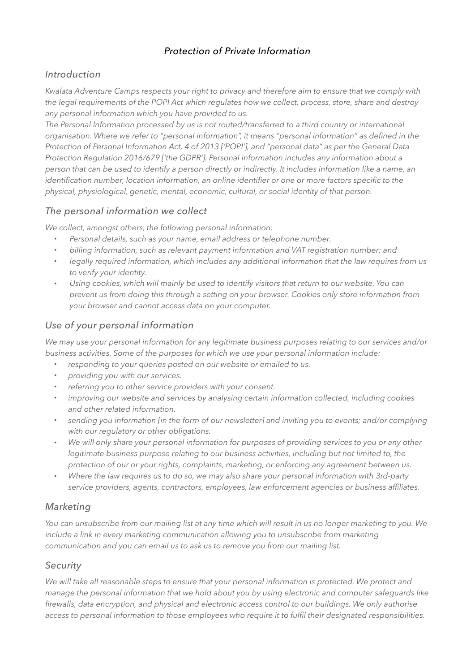### *Protection of Private Information*

#### *Introduction*

*Kwalata Adventure Camps respects your right to privacy and therefore aim to ensure that we comply with the legal requirements of the POPI Act which regulates how we collect, process, store, share and destroy any personal information which you have provided to us.*

*The Personal Information processed by us is not routed/transferred to a third country or international organisation. Where we refer to "personal information", it means "personal information" as defined in the Protection of Personal Information Act, 4 of 2013 ['POPI'], and "personal data" as per the General Data Protection Regulation 2016/679 ['the GDPR']. Personal information includes any information about a person that can be used to identify a person directly or indirectly. It includes information like a name, an identification number, location information, an online identifier or one or more factors specific to the physical, physiological, genetic, mental, economic, cultural, or social identity of that person.*

#### *The personal information we collect*

*We collect, amongst others, the following personal information:*

- *Personal details, such as your name, email address or telephone number.*
- *billing information, such as relevant payment information and VAT registration number; and*
- *legally required information, which includes any additional information that the law requires from us to verify your identity.*
- *Using cookies, which will mainly be used to identify visitors that return to our website. You can prevent us from doing this through a setting on your browser. Cookies only store information from your browser and cannot access data on your computer.*

#### *Use of your personal information*

*We may use your personal information for any legitimate business purposes relating to our services and/or business activities. Some of the purposes for which we use your personal information include:*

- *responding to your queries posted on our website or emailed to us.*
- *providing you with our services.*
- *referring you to other service providers with your consent.*
- *improving our website and services by analysing certain information collected, including cookies and other related information.*
- *sending you information [in the form of our newsletter] and inviting you to events; and/or complying with our regulatory or other obligations.*
- *We will only share your personal information for purposes of providing services to you or any other*  legitimate business purpose relating to our business activities, including but not limited to, the *protection of our or your rights, complaints, marketing, or enforcing any agreement between us.*
- *Where the law requires us to do so, we may also share your personal information with 3rd-party service providers, agents, contractors, employees, law enforcement agencies or business affiliates.*

#### *Marketing*

*You can unsubscribe from our mailing list at any time which will result in us no longer marketing to you. We include a link in every marketing communication allowing you to unsubscribe from marketing communication and you can email us to ask us to remove you from our mailing list.*

#### *Security*

We will take all reasonable steps to ensure that your personal information is protected. We protect and *manage the personal information that we hold about you by using electronic and computer safeguards like firewalls, data encryption, and physical and electronic access control to our buildings. We only authorise access to personal information to those employees who require it to fulfil their designated responsibilities.*